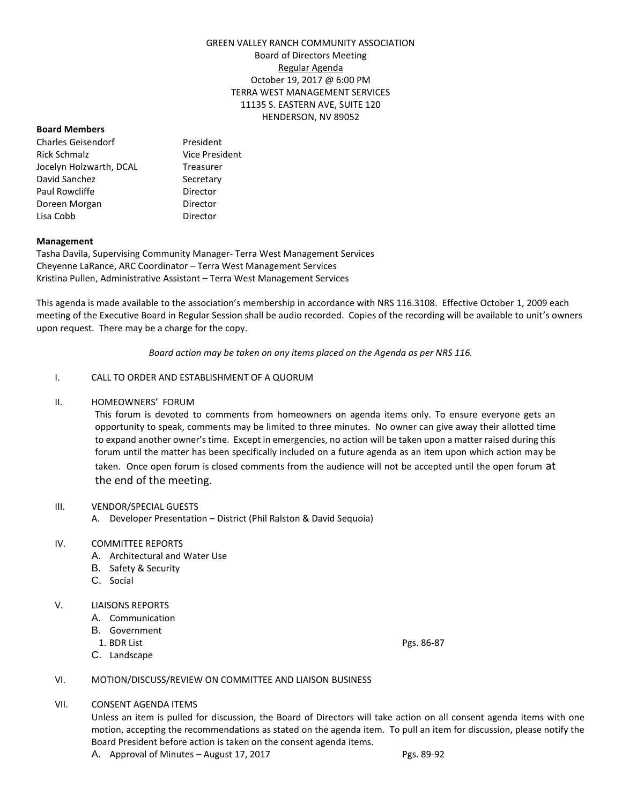# GREEN VALLEY RANCH COMMUNITY ASSOCIATION Board of Directors Meeting Regular Agenda October 19, 2017 @ 6:00 PM TERRA WEST MANAGEMENT SERVICES 11135 S. EASTERN AVE, SUITE 120 HENDERSON, NV 89052

### **Board Members**

Charles Geisendorf President Rick Schmalz Vice President Jocelyn Holzwarth, DCAL Treasurer David Sanchez Secretary Paul Rowcliffe **Director** Doreen Morgan **Director** Lisa Cobb Director

### **Management**

Tasha Davila, Supervising Community Manager- Terra West Management Services Cheyenne LaRance, ARC Coordinator – Terra West Management Services Kristina Pullen, Administrative Assistant – Terra West Management Services

This agenda is made available to the association's membership in accordance with NRS 116.3108. Effective October 1, 2009 each meeting of the Executive Board in Regular Session shall be audio recorded. Copies of the recording will be available to unit's owners upon request. There may be a charge for the copy.

*Board action may be taken on any items placed on the Agenda as per NRS 116.*

# I. CALL TO ORDER AND ESTABLISHMENT OF A QUORUM

### II. HOMEOWNERS' FORUM

This forum is devoted to comments from homeowners on agenda items only. To ensure everyone gets an opportunity to speak, comments may be limited to three minutes. No owner can give away their allotted time to expand another owner's time. Except in emergencies, no action will be taken upon a matter raised during this forum until the matter has been specifically included on a future agenda as an item upon which action may be taken. Once open forum is closed comments from the audience will not be accepted until the open forum at the end of the meeting.

### III. VENDOR/SPECIAL GUESTS

A. Developer Presentation – District (Phil Ralston & David Sequoia)

### IV. COMMITTEE REPORTS

- A. Architectural and Water Use
- B. Safety & Security
- C. Social

### V. LIAISONS REPORTS

- A. Communication
- B. Government
- 1. BDR List Pgs. 86-87 C. Landscape

# VI. MOTION/DISCUSS/REVIEW ON COMMITTEE AND LIAISON BUSINESS

VII. CONSENT AGENDA ITEMS

Unless an item is pulled for discussion, the Board of Directors will take action on all consent agenda items with one motion, accepting the recommendations as stated on the agenda item. To pull an item for discussion, please notify the Board President before action is taken on the consent agenda items.

A. Approval of Minutes – August 17, 2017 Pgs. 89-92